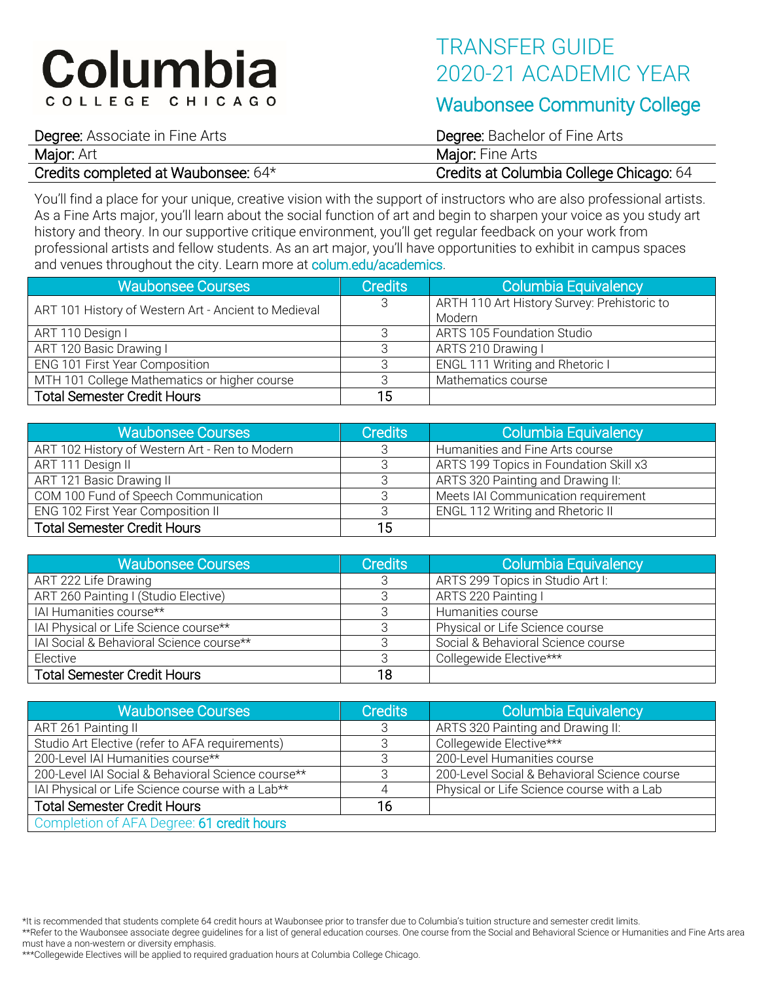# Columbia COLLEGE CHICAGO

## TRANSFER GUIDE 2020-21 ACADEMIC YEAR

### Waubonsee Community College

Degree: Associate in Fine Arts **Degree: Bachelor of Fine Arts** Major: Art **Major: And Arts** Major: Fine Arts

Credits completed at Waubonsee: 64\* Credits at Columbia College Chicago: 64

You'll find a place for your unique, creative vision with the support of instructors who are also professional artists. As a Fine Arts major, you'll learn about the social function of art and begin to sharpen your voice as you study art history and theory. In our supportive critique environment, you'll get regular feedback on your work from professional artists and fellow students. As an art major, you'll have opportunities to exhibit in campus spaces and venues throughout the city. Learn more at colum.edu/academics.

| <b>Waubonsee Courses</b>                             | <b>Credits</b> | Columbia Equivalency                        |
|------------------------------------------------------|----------------|---------------------------------------------|
| ART 101 History of Western Art - Ancient to Medieval | 3              | ARTH 110 Art History Survey: Prehistoric to |
|                                                      |                | Modern                                      |
| ART 110 Design I                                     | 3              | <b>ARTS 105 Foundation Studio</b>           |
| ART 120 Basic Drawing I                              |                | ARTS 210 Drawing I                          |
| ENG 101 First Year Composition                       | 3              | ENGL 111 Writing and Rhetoric I             |
| MTH 101 College Mathematics or higher course         | ₽              | Mathematics course                          |
| <b>Total Semester Credit Hours</b>                   | 15             |                                             |

| <b>Waubonsee Courses</b>                       | <b>Credits</b> | Columbia Equivalency                    |
|------------------------------------------------|----------------|-----------------------------------------|
| ART 102 History of Western Art - Ren to Modern |                | Humanities and Fine Arts course         |
| ART 111 Design II                              |                | ARTS 199 Topics in Foundation Skill x3  |
| ART 121 Basic Drawing II                       |                | ARTS 320 Painting and Drawing II:       |
| COM 100 Fund of Speech Communication           |                | Meets IAI Communication requirement     |
| ENG 102 First Year Composition II              |                | <b>ENGL 112 Writing and Rhetoric II</b> |
| <b>Total Semester Credit Hours</b>             | 15             |                                         |

| Waubonsee Courses                        | Credits | Columbia Equivalency               |
|------------------------------------------|---------|------------------------------------|
| ART 222 Life Drawing                     |         | ARTS 299 Topics in Studio Art I:   |
| ART 260 Painting I (Studio Elective)     |         | ARTS 220 Painting I                |
| IAI Humanities course**                  |         | Humanities course                  |
| IAI Physical or Life Science course**    |         | Physical or Life Science course    |
| IAI Social & Behavioral Science course** |         | Social & Behavioral Science course |
| Elective                                 |         | Collegewide Elective***            |
| <b>Total Semester Credit Hours</b>       | 18      |                                    |

| Waubonsee Courses                                  | <b>Credits</b> | Columbia Equivalency                         |
|----------------------------------------------------|----------------|----------------------------------------------|
| ART 261 Painting II                                | 3              | ARTS 320 Painting and Drawing II:            |
| Studio Art Elective (refer to AFA requirements)    |                | Collegewide Elective***                      |
| 200-Level IAI Humanities course**                  | З              | 200-Level Humanities course                  |
| 200-Level IAI Social & Behavioral Science course** | 3              | 200-Level Social & Behavioral Science course |
| IAI Physical or Life Science course with a Lab**   | 4              | Physical or Life Science course with a Lab   |
| <b>Total Semester Credit Hours</b>                 | 16             |                                              |
| Completion of AFA Degree: 61 credit hours          |                |                                              |

\*It is recommended that students complete 64 credit hours at Waubonsee prior to transfer due to Columbia's tuition structure and semester credit limits.

\*\*Refer to the Waubonsee associate degree guidelines for a list of general education courses. One course from the Social and Behavioral Science or Humanities and Fine Arts area must have a non-western or diversity emphasis.

\*\*\*Collegewide Electives will be applied to required graduation hours at Columbia College Chicago.